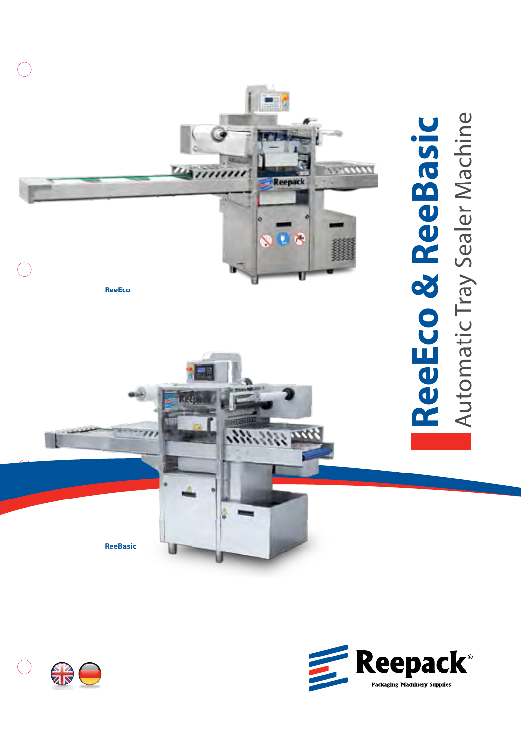